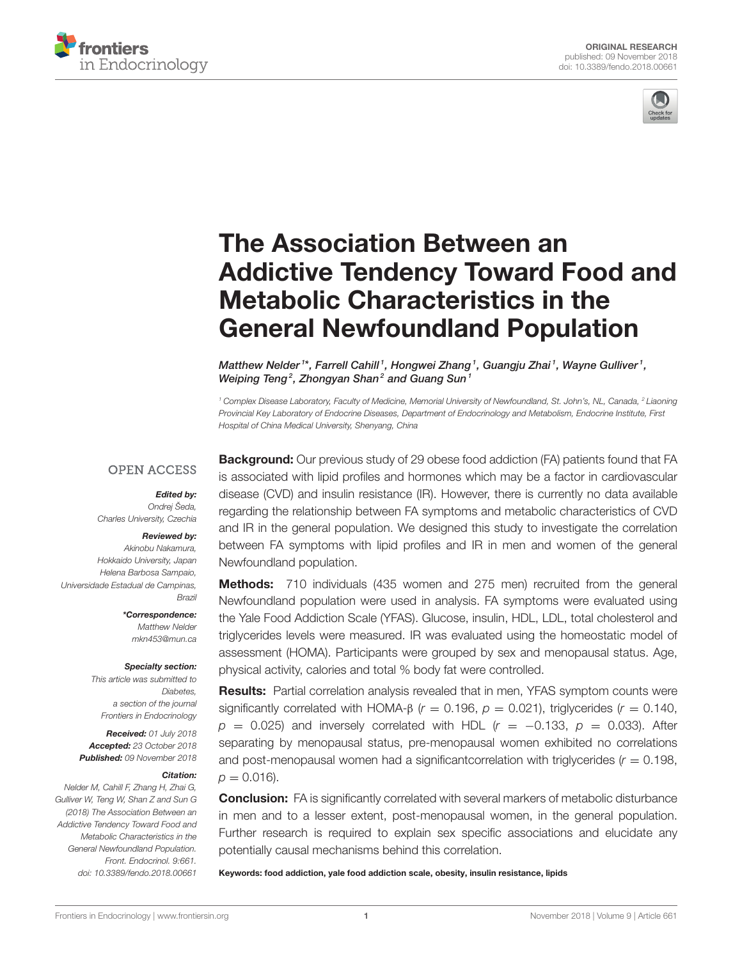



# The Association Between an [Addictive Tendency Toward Food and](https://www.frontiersin.org/articles/10.3389/fendo.2018.00661/full) Metabolic Characteristics in the General Newfoundland Population

[Matthew Nelder](http://loop.frontiersin.org/people/582611/overview) <sup>1\*</sup>, Farrell Cahill <sup>1</sup>, Hongwei Zhang <sup>1</sup>, Guangju Zhai <sup>1</sup>, [Wayne Gulliver](http://loop.frontiersin.org/people/493075/overview) <sup>1</sup>, Weiping Teng<sup>2</sup>, [Zhongyan Shan](http://loop.frontiersin.org/people/469607/overview)<sup>2</sup> and [Guang Sun](http://loop.frontiersin.org/people/31041/overview)<sup>1</sup>

<sup>1</sup> Complex Disease Laboratory, Faculty of Medicine, Memorial University of Newfoundland, St. John's, NL, Canada, <sup>2</sup> Liaoning Provincial Key Laboratory of Endocrine Diseases, Department of Endocrinology and Metabolism, Endocrine Institute, First Hospital of China Medical University, Shenyang, China

#### **OPEN ACCESS**

#### Edited by:

Ondrej Šeda, Charles University, Czechia

#### Reviewed by:

Akinobu Nakamura, Hokkaido University, Japan Helena Barbosa Sampaio, Universidade Estadual de Campinas, Brazil

> \*Correspondence: Matthew Nelder [mkn453@mun.ca](mailto:mkn453@mun.ca)

#### Specialty section:

This article was submitted to Diabetes, a section of the journal Frontiers in Endocrinology

Received: 01 July 2018 Accepted: 23 October 2018 Published: 09 November 2018

#### Citation:

Nelder M, Cahill F, Zhang H, Zhai G, Gulliver W, Teng W, Shan Z and Sun G (2018) The Association Between an Addictive Tendency Toward Food and Metabolic Characteristics in the General Newfoundland Population. Front. Endocrinol. 9:661. doi: [10.3389/fendo.2018.00661](https://doi.org/10.3389/fendo.2018.00661)

**Background:** Our previous study of 29 obese food addiction (FA) patients found that FA is associated with lipid profiles and hormones which may be a factor in cardiovascular disease (CVD) and insulin resistance (IR). However, there is currently no data available regarding the relationship between FA symptoms and metabolic characteristics of CVD and IR in the general population. We designed this study to investigate the correlation between FA symptoms with lipid profiles and IR in men and women of the general Newfoundland population.

**Methods:** 710 individuals (435 women and 275 men) recruited from the general Newfoundland population were used in analysis. FA symptoms were evaluated using the Yale Food Addiction Scale (YFAS). Glucose, insulin, HDL, LDL, total cholesterol and triglycerides levels were measured. IR was evaluated using the homeostatic model of assessment (HOMA). Participants were grouped by sex and menopausal status. Age, physical activity, calories and total % body fat were controlled.

Results: Partial correlation analysis revealed that in men, YFAS symptom counts were significantly correlated with HOMA- $\beta$  ( $r = 0.196$ ,  $p = 0.021$ ), triglycerides ( $r = 0.140$ ,  $p = 0.025$ ) and inversely correlated with HDL ( $r = -0.133$ ,  $p = 0.033$ ). After separating by menopausal status, pre-menopausal women exhibited no correlations and post-menopausal women had a significantcorrelation with triglycerides ( $r = 0.198$ ,  $p = 0.016$ .

**Conclusion:** FA is significantly correlated with several markers of metabolic disturbance in men and to a lesser extent, post-menopausal women, in the general population. Further research is required to explain sex specific associations and elucidate any potentially causal mechanisms behind this correlation.

Keywords: food addiction, yale food addiction scale, obesity, insulin resistance, lipids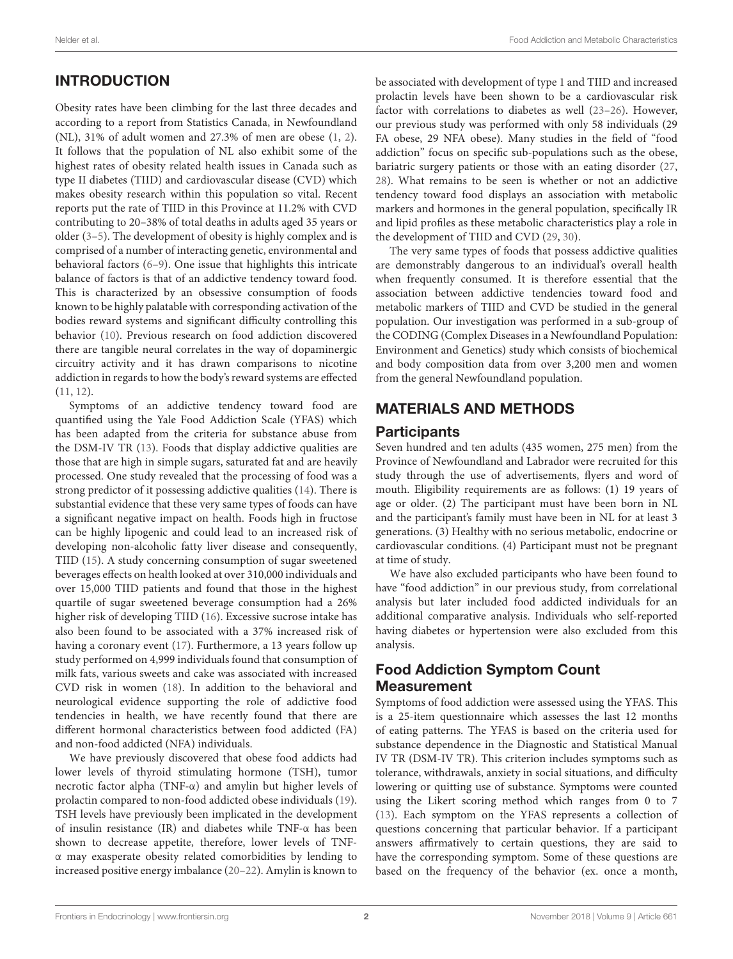#### Nelder et al. Food Addiction and Metabolic Characteristics

# INTRODUCTION

Obesity rates have been climbing for the last three decades and according to a report from Statistics Canada, in Newfoundland (NL), 31% of adult women and 27.3% of men are obese [\(1,](#page-7-0) [2\)](#page-7-1). It follows that the population of NL also exhibit some of the highest rates of obesity related health issues in Canada such as type II diabetes (TIID) and cardiovascular disease (CVD) which makes obesity research within this population so vital. Recent reports put the rate of TIID in this Province at 11.2% with CVD contributing to 20–38% of total deaths in adults aged 35 years or older [\(3–](#page-7-2)[5\)](#page-7-3). The development of obesity is highly complex and is comprised of a number of interacting genetic, environmental and behavioral factors [\(6–](#page-7-4)[9\)](#page-7-5). One issue that highlights this intricate balance of factors is that of an addictive tendency toward food. This is characterized by an obsessive consumption of foods known to be highly palatable with corresponding activation of the bodies reward systems and significant difficulty controlling this behavior [\(10\)](#page-7-6). Previous research on food addiction discovered there are tangible neural correlates in the way of dopaminergic circuitry activity and it has drawn comparisons to nicotine addiction in regards to how the body's reward systems are effected [\(11,](#page-7-7) [12\)](#page-7-8).

Symptoms of an addictive tendency toward food are quantified using the Yale Food Addiction Scale (YFAS) which has been adapted from the criteria for substance abuse from the DSM-IV TR [\(13\)](#page-7-9). Foods that display addictive qualities are those that are high in simple sugars, saturated fat and are heavily processed. One study revealed that the processing of food was a strong predictor of it possessing addictive qualities [\(14\)](#page-7-10). There is substantial evidence that these very same types of foods can have a significant negative impact on health. Foods high in fructose can be highly lipogenic and could lead to an increased risk of developing non-alcoholic fatty liver disease and consequently, TIID [\(15\)](#page-7-11). A study concerning consumption of sugar sweetened beverages effects on health looked at over 310,000 individuals and over 15,000 TIID patients and found that those in the highest quartile of sugar sweetened beverage consumption had a 26% higher risk of developing TIID [\(16\)](#page-7-12). Excessive sucrose intake has also been found to be associated with a 37% increased risk of having a coronary event [\(17\)](#page-7-13). Furthermore, a 13 years follow up study performed on 4,999 individuals found that consumption of milk fats, various sweets and cake was associated with increased CVD risk in women [\(18\)](#page-7-14). In addition to the behavioral and neurological evidence supporting the role of addictive food tendencies in health, we have recently found that there are different hormonal characteristics between food addicted (FA) and non-food addicted (NFA) individuals.

We have previously discovered that obese food addicts had lower levels of thyroid stimulating hormone (TSH), tumor necrotic factor alpha (TNF-α) and amylin but higher levels of prolactin compared to non-food addicted obese individuals [\(19\)](#page-7-15). TSH levels have previously been implicated in the development of insulin resistance (IR) and diabetes while TNF-α has been shown to decrease appetite, therefore, lower levels of TNFα may exasperate obesity related comorbidities by lending to increased positive energy imbalance [\(20](#page-7-16)[–22\)](#page-7-17). Amylin is known to

be associated with development of type 1 and TIID and increased prolactin levels have been shown to be a cardiovascular risk factor with correlations to diabetes as well [\(23–](#page-7-18)[26\)](#page-7-19). However, our previous study was performed with only 58 individuals (29 FA obese, 29 NFA obese). Many studies in the field of "food addiction" focus on specific sub-populations such as the obese, bariatric surgery patients or those with an eating disorder [\(27,](#page-7-20) [28\)](#page-7-21). What remains to be seen is whether or not an addictive tendency toward food displays an association with metabolic markers and hormones in the general population, specifically IR and lipid profiles as these metabolic characteristics play a role in the development of TIID and CVD [\(29,](#page-7-22) [30\)](#page-7-23).

The very same types of foods that possess addictive qualities are demonstrably dangerous to an individual's overall health when frequently consumed. It is therefore essential that the association between addictive tendencies toward food and metabolic markers of TIID and CVD be studied in the general population. Our investigation was performed in a sub-group of the CODING (Complex Diseases in a Newfoundland Population: Environment and Genetics) study which consists of biochemical and body composition data from over 3,200 men and women from the general Newfoundland population.

# MATERIALS AND METHODS

#### **Participants**

Seven hundred and ten adults (435 women, 275 men) from the Province of Newfoundland and Labrador were recruited for this study through the use of advertisements, flyers and word of mouth. Eligibility requirements are as follows: (1) 19 years of age or older. (2) The participant must have been born in NL and the participant's family must have been in NL for at least 3 generations. (3) Healthy with no serious metabolic, endocrine or cardiovascular conditions. (4) Participant must not be pregnant at time of study.

We have also excluded participants who have been found to have "food addiction" in our previous study, from correlational analysis but later included food addicted individuals for an additional comparative analysis. Individuals who self-reported having diabetes or hypertension were also excluded from this analysis.

# Food Addiction Symptom Count Measurement

Symptoms of food addiction were assessed using the YFAS. This is a 25-item questionnaire which assesses the last 12 months of eating patterns. The YFAS is based on the criteria used for substance dependence in the Diagnostic and Statistical Manual IV TR (DSM-IV TR). This criterion includes symptoms such as tolerance, withdrawals, anxiety in social situations, and difficulty lowering or quitting use of substance. Symptoms were counted using the Likert scoring method which ranges from 0 to 7 [\(13\)](#page-7-9). Each symptom on the YFAS represents a collection of questions concerning that particular behavior. If a participant answers affirmatively to certain questions, they are said to have the corresponding symptom. Some of these questions are based on the frequency of the behavior (ex. once a month,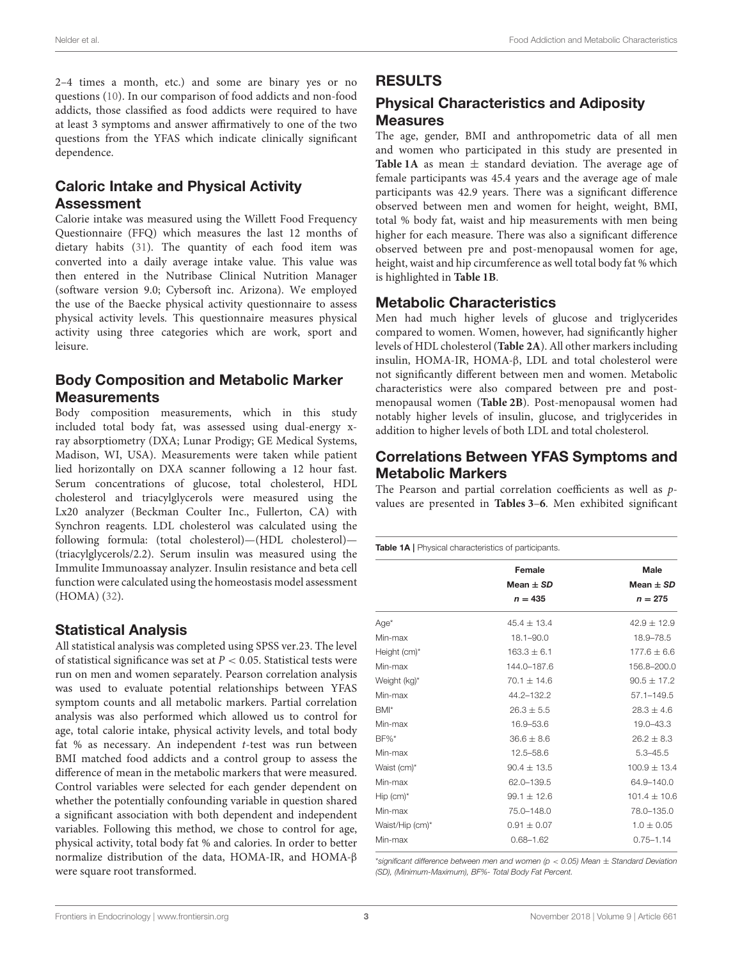2–4 times a month, etc.) and some are binary yes or no questions [\(10\)](#page-7-6). In our comparison of food addicts and non-food addicts, those classified as food addicts were required to have at least 3 symptoms and answer affirmatively to one of the two questions from the YFAS which indicate clinically significant dependence.

# Caloric Intake and Physical Activity Assessment

Calorie intake was measured using the Willett Food Frequency Questionnaire (FFQ) which measures the last 12 months of dietary habits [\(31\)](#page-7-24). The quantity of each food item was converted into a daily average intake value. This value was then entered in the Nutribase Clinical Nutrition Manager (software version 9.0; Cybersoft inc. Arizona). We employed the use of the Baecke physical activity questionnaire to assess physical activity levels. This questionnaire measures physical activity using three categories which are work, sport and leisure.

## Body Composition and Metabolic Marker **Measurements**

Body composition measurements, which in this study included total body fat, was assessed using dual-energy xray absorptiometry (DXA; Lunar Prodigy; GE Medical Systems, Madison, WI, USA). Measurements were taken while patient lied horizontally on DXA scanner following a 12 hour fast. Serum concentrations of glucose, total cholesterol, HDL cholesterol and triacylglycerols were measured using the Lx20 analyzer (Beckman Coulter Inc., Fullerton, CA) with Synchron reagents. LDL cholesterol was calculated using the following formula: (total cholesterol)—(HDL cholesterol)— (triacylglycerols/2.2). Serum insulin was measured using the Immulite Immunoassay analyzer. Insulin resistance and beta cell function were calculated using the homeostasis model assessment (HOMA) [\(32\)](#page-7-25).

## Statistical Analysis

All statistical analysis was completed using SPSS ver.23. The level of statistical significance was set at  $P < 0.05$ . Statistical tests were run on men and women separately. Pearson correlation analysis was used to evaluate potential relationships between YFAS symptom counts and all metabolic markers. Partial correlation analysis was also performed which allowed us to control for age, total calorie intake, physical activity levels, and total body fat % as necessary. An independent t-test was run between BMI matched food addicts and a control group to assess the difference of mean in the metabolic markers that were measured. Control variables were selected for each gender dependent on whether the potentially confounding variable in question shared a significant association with both dependent and independent variables. Following this method, we chose to control for age, physical activity, total body fat % and calories. In order to better normalize distribution of the data, HOMA-IR, and HOMA-β were square root transformed.

## RESULTS

# Physical Characteristics and Adiposity Measures

The age, gender, BMI and anthropometric data of all men and women who participated in this study are presented in **[Table 1A](#page-2-0)** as mean  $\pm$  standard deviation. The average age of female participants was 45.4 years and the average age of male participants was 42.9 years. There was a significant difference observed between men and women for height, weight, BMI, total % body fat, waist and hip measurements with men being higher for each measure. There was also a significant difference observed between pre and post-menopausal women for age, height, waist and hip circumference as well total body fat % which is highlighted in **[Table 1B](#page-3-0)**.

## Metabolic Characteristics

Men had much higher levels of glucose and triglycerides compared to women. Women, however, had significantly higher levels of HDL cholesterol (**[Table 2A](#page-3-1)**). All other markers including insulin, HOMA-IR, HOMA-β, LDL and total cholesterol were not significantly different between men and women. Metabolic characteristics were also compared between pre and postmenopausal women (**[Table 2B](#page-3-2)**). Post-menopausal women had notably higher levels of insulin, glucose, and triglycerides in addition to higher levels of both LDL and total cholesterol.

# Correlations Between YFAS Symptoms and Metabolic Markers

The Pearson and partial correlation coefficients as well as pvalues are presented in **[Tables 3](#page-4-0)**–**[6](#page-5-0)**. Men exhibited significant

<span id="page-2-0"></span>Table 1A | Physical characteristics of participants.

| Female          | <b>Male</b>      |  |  |
|-----------------|------------------|--|--|
| Mean $\pm$ SD   | Mean $\pm$ SD    |  |  |
| $n = 435$       | $n = 275$        |  |  |
| $45.4 \pm 13.4$ | $42.9 \pm 12.9$  |  |  |
| $18.1 - 90.0$   | 18.9-78.5        |  |  |
| $163.3 \pm 6.1$ | $177.6 \pm 6.6$  |  |  |
| 144.0-187.6     | 156.8-200.0      |  |  |
| $70.1 \pm 14.6$ | $90.5 \pm 17.2$  |  |  |
| 44.2-132.2      | $57.1 - 149.5$   |  |  |
| $26.3 \pm 5.5$  | $28.3 \pm 4.6$   |  |  |
| 16.9-53.6       | 19.0-43.3        |  |  |
| $36.6 \pm 8.6$  | $26.2 \pm 8.3$   |  |  |
| 12.5-58.6       | $5.3 - 45.5$     |  |  |
| $90.4 + 13.5$   | $100.9 + 13.4$   |  |  |
| 62.0-139.5      | 64.9-140.0       |  |  |
| $99.1 \pm 12.6$ | $101.4 \pm 10.6$ |  |  |
| 75.0-148.0      | 78.0-135.0       |  |  |
| $0.91 \pm 0.07$ | $1.0 \pm 0.05$   |  |  |
| $0.68 - 1.62$   | $0.75 - 1.14$    |  |  |
|                 |                  |  |  |

\*significant difference between men and women ( $p < 0.05$ ) Mean  $\pm$  Standard Deviation (SD), (Minimum-Maximum), BF%- Total Body Fat Percent.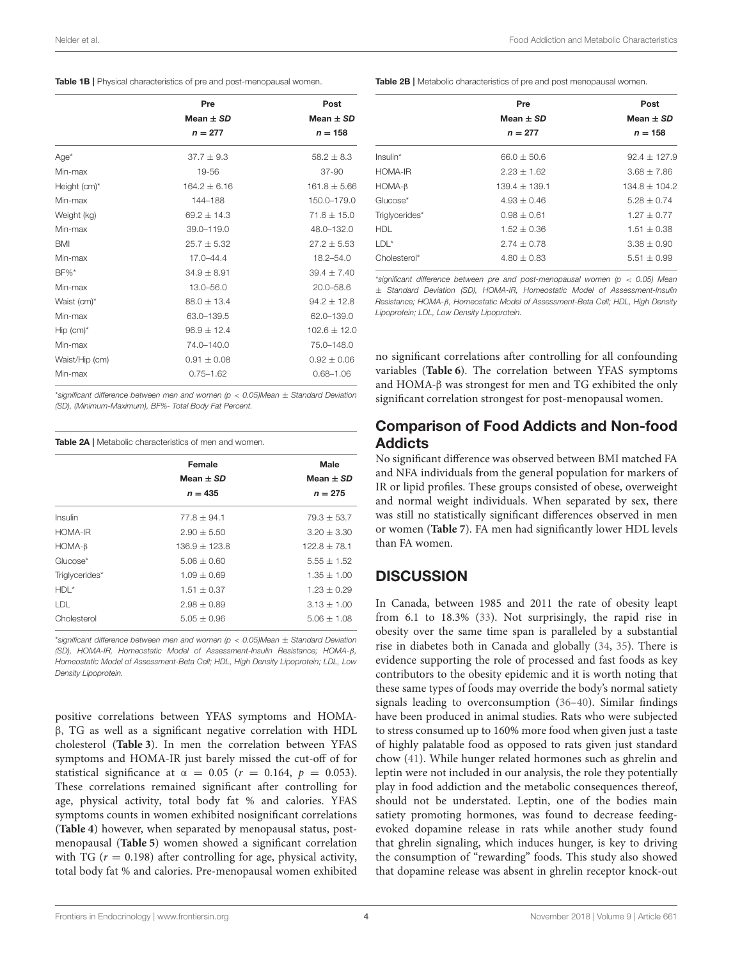<span id="page-3-0"></span>

|                         | Pre             | Post           |  |
|-------------------------|-----------------|----------------|--|
|                         | Mean $\pm$ SD   | Mean $\pm$ SD  |  |
|                         | $n = 277$       | $n = 158$      |  |
| $Age*$                  | $37.7 + 9.3$    | $58.2 \pm 8.3$ |  |
| Min-max                 | 19-56           | $37 - 90$      |  |
| Height (cm)*            | $164.2 + 6.16$  | $161.8 + 5.66$ |  |
| Min-max                 | 144-188         | 150.0-179.0    |  |
| Weight (kg)             | $69.2 + 14.3$   | $71.6 + 15.0$  |  |
| Min-max                 | $39.0 - 119.0$  | 48.0-132.0     |  |
| <b>BMI</b>              | $25.7 + 5.32$   | $27.2 + 5.53$  |  |
| Min-max                 | $17.0 - 44.4$   | $18.2 - 54.0$  |  |
| $BF\%*$                 | $34.9 + 8.91$   | $39.4 + 7.40$  |  |
| Min-max                 | 13.0-56.0       | $20.0 - 58.6$  |  |
| Waist (cm)*             | $88.0 + 13.4$   | $94.2 + 12.8$  |  |
| Min-max                 | 63.0-139.5      | 62.0-139.0     |  |
| $Hip$ (cm) <sup>*</sup> | $96.9 \pm 12.4$ | $102.6 + 12.0$ |  |
| Min-max                 | $74.0 - 140.0$  | 75.0-148.0     |  |
| Waist/Hip (cm)          | $0.91 + 0.08$   | $0.92 + 0.06$  |  |
| Min-max                 | $0.75 - 1.62$   | $0.68 - 1.06$  |  |

\*significant difference between men and women (p  $<$  0.05)Mean  $+$  Standard Deviation (SD), (Minimum-Maximum), BF%- Total Body Fat Percent.

<span id="page-3-1"></span>

|                | Female          | Male            |
|----------------|-----------------|-----------------|
|                | Mean $\pm$ SD   | Mean $\pm$ SD   |
|                | $n = 435$       | $n = 275$       |
| Insulin        | $77.8 + 94.1$   | $79.3 + 53.7$   |
| HOMA-IR        | $2.90 + 5.50$   | $3.20 + 3.30$   |
| $HOMA-B$       | $136.9 + 123.8$ | $122.8 + 78.1$  |
| Glucose*       | $5.06 \pm 0.60$ | $5.55 + 1.52$   |
| Triglycerides* | $1.09 + 0.69$   | $1.35 + 1.00$   |
| $HDL^*$        | $1.51 + 0.37$   | $1.23 + 0.29$   |
| LDL            | $2.98 \pm 0.89$ | $3.13 + 1.00$   |
| Cholesterol    | $5.05 \pm 0.96$ | $5.06 \pm 1.08$ |

\*significant difference between men and women ( $p < 0.05$ )Mean  $\pm$  Standard Deviation (SD), HOMA-IR, Homeostatic Model of Assessment-Insulin Resistance; HOMA-β, Homeostatic Model of Assessment-Beta Cell; HDL, High Density Lipoprotein; LDL, Low Density Lipoprotein.

positive correlations between YFAS symptoms and HOMAβ, TG as well as a significant negative correlation with HDL cholesterol (**[Table 3](#page-4-0)**). In men the correlation between YFAS symptoms and HOMA-IR just barely missed the cut-off of for statistical significance at  $\alpha = 0.05$  ( $r = 0.164$ ,  $p = 0.053$ ). These correlations remained significant after controlling for age, physical activity, total body fat % and calories. YFAS symptoms counts in women exhibited nosignificant correlations (**[Table 4](#page-4-1)**) however, when separated by menopausal status, postmenopausal (**[Table 5](#page-5-1)**) women showed a significant correlation with TG ( $r = 0.198$ ) after controlling for age, physical activity, total body fat % and calories. Pre-menopausal women exhibited

<span id="page-3-2"></span>Table 2B | Metabolic characteristics of pre and post menopausal women.

|                | Pre<br>Mean $\pm$ SD<br>$n = 277$ | Post<br>Mean $\pm$ SD<br>$n = 158$ |
|----------------|-----------------------------------|------------------------------------|
| $Insulin*$     | $66.0 + 50.6$                     | $92.4 + 127.9$                     |
| HOMA-IR        | $2.23 + 1.62$                     | $3.68 + 7.86$                      |
| $HOMA-B$       | $139.4 + 139.1$                   | $134.8 + 104.2$                    |
| Glucose*       | $4.93 + 0.46$                     | $5.28 + 0.74$                      |
| Triglycerides* | $0.98 + 0.61$                     | $1.27 + 0.77$                      |
| <b>HDL</b>     | $1.52 + 0.36$                     | $1.51 + 0.38$                      |
| $LDL^*$        | $2.74 + 0.78$                     | $3.38 + 0.90$                      |
| Cholesterol*   | $4.80 + 0.83$                     | $5.51 \pm 0.99$                    |

\*significant difference between pre and post-menopausal women (p  $< 0.05$ ) Mean ± Standard Deviation (SD), HOMA-IR, Homeostatic Model of Assessment-Insulin Resistance; HOMA-β, Homeostatic Model of Assessment-Beta Cell; HDL, High Density Lipoprotein; LDL, Low Density Lipoprotein.

no significant correlations after controlling for all confounding variables (**[Table 6](#page-5-0)**). The correlation between YFAS symptoms and HOMA-β was strongest for men and TG exhibited the only significant correlation strongest for post-menopausal women.

## Comparison of Food Addicts and Non-food **Addicts**

No significant difference was observed between BMI matched FA and NFA individuals from the general population for markers of IR or lipid profiles. These groups consisted of obese, overweight and normal weight individuals. When separated by sex, there was still no statistically significant differences observed in men or women (**[Table 7](#page-6-0)**). FA men had significantly lower HDL levels than FA women.

# **DISCUSSION**

In Canada, between 1985 and 2011 the rate of obesity leapt from 6.1 to 18.3% [\(33\)](#page-7-26). Not surprisingly, the rapid rise in obesity over the same time span is paralleled by a substantial rise in diabetes both in Canada and globally [\(34,](#page-7-27) [35\)](#page-7-28). There is evidence supporting the role of processed and fast foods as key contributors to the obesity epidemic and it is worth noting that these same types of foods may override the body's normal satiety signals leading to overconsumption [\(36–](#page-7-29)[40\)](#page-8-0). Similar findings have been produced in animal studies. Rats who were subjected to stress consumed up to 160% more food when given just a taste of highly palatable food as opposed to rats given just standard chow [\(41\)](#page-8-1). While hunger related hormones such as ghrelin and leptin were not included in our analysis, the role they potentially play in food addiction and the metabolic consequences thereof, should not be understated. Leptin, one of the bodies main satiety promoting hormones, was found to decrease feedingevoked dopamine release in rats while another study found that ghrelin signaling, which induces hunger, is key to driving the consumption of "rewarding" foods. This study also showed that dopamine release was absent in ghrelin receptor knock-out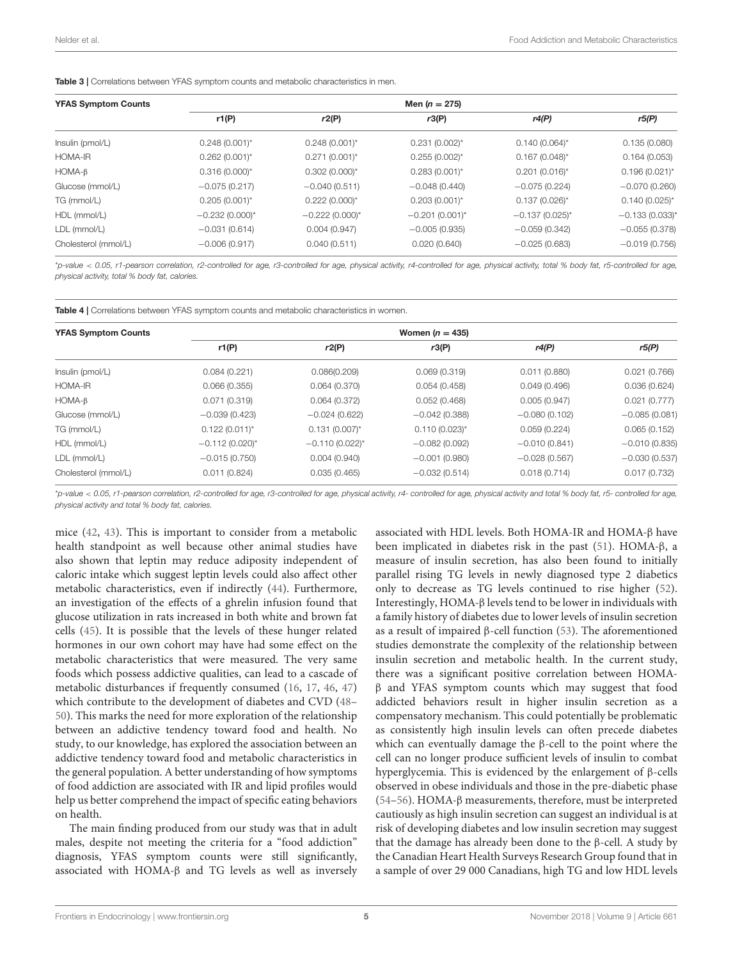<span id="page-4-0"></span>Table 3 | Correlations between YFAS symptom counts and metabolic characteristics in men.

| <b>YFAS Symptom Counts</b> |                    |                    | Men $(n = 275)$     |                     |                     |
|----------------------------|--------------------|--------------------|---------------------|---------------------|---------------------|
|                            | r1(P)              | r2(P)              | r3(P)               | r4(P)               | r5(P)               |
| Insulin (pmol/L)           | $0.248(0.001)^{*}$ | $0.248(0.001)^{*}$ | $0.231(0.002)^{*}$  | $0.140(0.064)$ *    | 0.135(0.080)        |
| <b>HOMA-IR</b>             | $0.262(0.001)^{*}$ | $0.271(0.001)^{*}$ | $0.255(0.002)^{*}$  | $0.167(0.048)^{*}$  | 0.164(0.053)        |
| $HOMA-B$                   | $0.316(0.000)^{*}$ | $0.302(0.000)^{*}$ | $0.283(0.001)^{*}$  | $0.201(0.016)^{*}$  | $0.196(0.021)^{*}$  |
| Glucose (mmol/L)           | $-0.075(0.217)$    | $-0.040(0.511)$    | $-0.048(0.440)$     | $-0.075(0.224)$     | $-0.070(0.260)$     |
| TG (mmol/L)                | $0.205(0.001)^{*}$ | $0.222(0.000)^{*}$ | $0.203(0.001)^{*}$  | $0.137(0.026)$ *    | $0.140(0.025)^{*}$  |
| HDL (mmol/L)               | $-0.232(0.000)*$   | $-0.222(0.000)*$   | $-0.201(0.001)^{*}$ | $-0.137(0.025)^{*}$ | $-0.133(0.033)^{*}$ |
| LDL (mmol/L)               | $-0.031(0.614)$    | 0.004(0.947)       | $-0.005(0.935)$     | $-0.059(0.342)$     | $-0.055(0.378)$     |
| Cholesterol (mmol/L)       | $-0.006(0.917)$    | 0.040(0.511)       | 0.020(0.640)        | $-0.025(0.683)$     | $-0.019(0.756)$     |

\*p-value < 0.05, r1-pearson correlation, r2-controlled for age, r3-controlled for age, physical activity, r4-controlled for age, physical activity, total % body fat, r5-controlled for age, physical activity, total % body fat, calories.

<span id="page-4-1"></span>Table 4 | Correlations between YFAS symptom counts and metabolic characteristics in women.

| <b>YFAS Symptom Counts</b> | Women $(n = 435)$  |                    |                    |                 |                 |  |
|----------------------------|--------------------|--------------------|--------------------|-----------------|-----------------|--|
|                            | r1(P)              | r2(P)              | r3(P)              | r4(P)           | r5(P)           |  |
| Insulin (pmol/L)           | 0.084(0.221)       | 0.086(0.209)       | 0.069(0.319)       | 0.011(0.880)    | 0.021(0.766)    |  |
| <b>HOMA-IR</b>             | 0.066(0.355)       | 0.064(0.370)       | 0.054(0.458)       | 0.049(0.496)    | 0.036(0.624)    |  |
| $HOMA-B$                   | 0.071(0.319)       | 0.064(0.372)       | 0.052(0.468)       | 0.005(0.947)    | 0.021(0.777)    |  |
| Glucose (mmol/L)           | $-0.039(0.423)$    | $-0.024(0.622)$    | $-0.042(0.388)$    | $-0.080(0.102)$ | $-0.085(0.081)$ |  |
| TG (mmol/L)                | $0.122(0.011)^{*}$ | $0.131(0.007)^{*}$ | $0.110(0.023)^{*}$ | 0.059(0.224)    | 0.065(0.152)    |  |
| HDL (mmol/L)               | $-0.112(0.020)$ *  | $-0.110(0.022)$ *  | $-0.082(0.092)$    | $-0.010(0.841)$ | $-0.010(0.835)$ |  |
| LDL (mmol/L)               | $-0.015(0.750)$    | 0.004(0.940)       | $-0.001(0.980)$    | $-0.028(0.567)$ | $-0.030(0.537)$ |  |
| Cholesterol (mmol/L)       | 0.011(0.824)       | 0.035(0.465)       | $-0.032(0.514)$    | 0.018(0.714)    | 0.017(0.732)    |  |

\*p-value < 0.05, r1-pearson correlation, r2-controlled for age, r3-controlled for age, physical activity, r4- controlled for age, physical activity and total % body fat, r5- controlled for age, physical activity and total % body fat, calories.

mice [\(42,](#page-8-2) [43\)](#page-8-3). This is important to consider from a metabolic health standpoint as well because other animal studies have also shown that leptin may reduce adiposity independent of caloric intake which suggest leptin levels could also affect other metabolic characteristics, even if indirectly [\(44\)](#page-8-4). Furthermore, an investigation of the effects of a ghrelin infusion found that glucose utilization in rats increased in both white and brown fat cells [\(45\)](#page-8-5). It is possible that the levels of these hunger related hormones in our own cohort may have had some effect on the metabolic characteristics that were measured. The very same foods which possess addictive qualities, can lead to a cascade of metabolic disturbances if frequently consumed [\(16,](#page-7-12) [17,](#page-7-13) [46,](#page-8-6) [47\)](#page-8-7) which contribute to the development of diabetes and CVD [\(48–](#page-8-8) [50\)](#page-8-9). This marks the need for more exploration of the relationship between an addictive tendency toward food and health. No study, to our knowledge, has explored the association between an addictive tendency toward food and metabolic characteristics in the general population. A better understanding of how symptoms of food addiction are associated with IR and lipid profiles would help us better comprehend the impact of specific eating behaviors on health.

The main finding produced from our study was that in adult males, despite not meeting the criteria for a "food addiction" diagnosis, YFAS symptom counts were still significantly, associated with HOMA-β and TG levels as well as inversely associated with HDL levels. Both HOMA-IR and HOMA-β have been implicated in diabetes risk in the past [\(51\)](#page-8-10). HOMA-β, a measure of insulin secretion, has also been found to initially parallel rising TG levels in newly diagnosed type 2 diabetics only to decrease as TG levels continued to rise higher [\(52\)](#page-8-11). Interestingly, HOMA-β levels tend to be lower in individuals with a family history of diabetes due to lower levels of insulin secretion as a result of impaired β-cell function [\(53\)](#page-8-12). The aforementioned studies demonstrate the complexity of the relationship between insulin secretion and metabolic health. In the current study, there was a significant positive correlation between HOMAβ and YFAS symptom counts which may suggest that food addicted behaviors result in higher insulin secretion as a compensatory mechanism. This could potentially be problematic as consistently high insulin levels can often precede diabetes which can eventually damage the β-cell to the point where the cell can no longer produce sufficient levels of insulin to combat hyperglycemia. This is evidenced by the enlargement of β-cells observed in obese individuals and those in the pre-diabetic phase [\(54](#page-8-13)[–56\)](#page-8-14). HOMA-β measurements, therefore, must be interpreted cautiously as high insulin secretion can suggest an individual is at risk of developing diabetes and low insulin secretion may suggest that the damage has already been done to the β-cell. A study by the Canadian Heart Health Surveys Research Group found that in a sample of over 29 000 Canadians, high TG and low HDL levels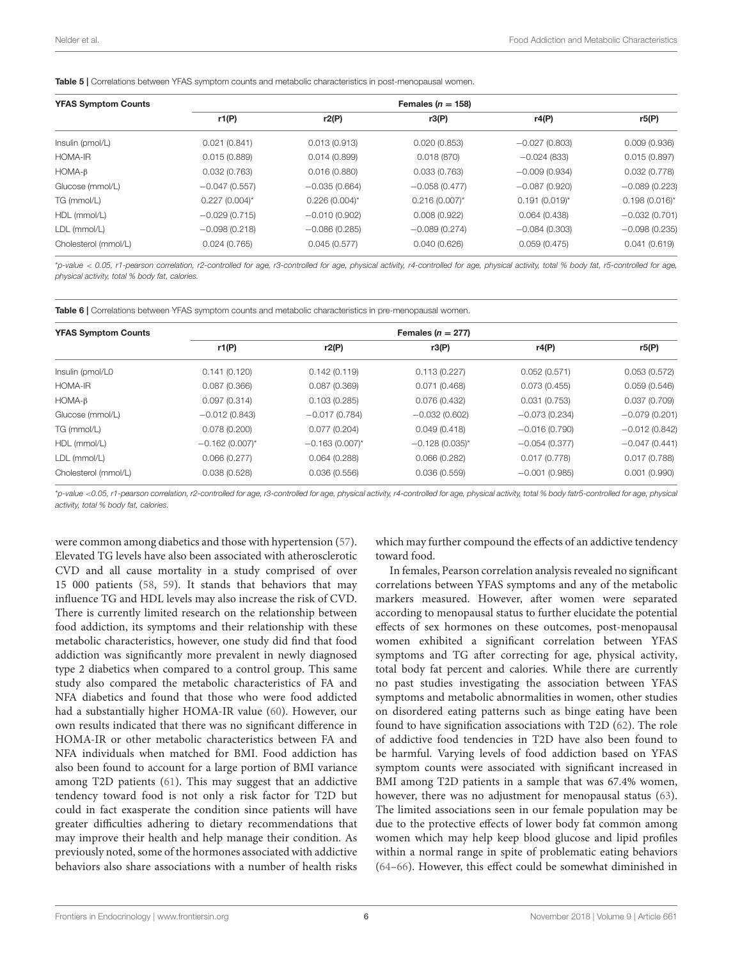<span id="page-5-1"></span>Table 5 | Correlations between YFAS symptom counts and metabolic characteristics in post-menopausal women.

| <b>YFAS Symptom Counts</b> |                    |                    | Females ( $n = 158$ ) |                   |                    |
|----------------------------|--------------------|--------------------|-----------------------|-------------------|--------------------|
|                            | r1(P)              | r2(P)              | r3(P)                 | r4(P)             | r5(P)              |
| Insulin (pmol/L)           | 0.021(0.841)       | 0.013(0.913)       | 0.020(0.853)          | $-0.027(0.803)$   | 0.009(0.936)       |
| <b>HOMA-IR</b>             | 0.015(0.889)       | 0.014(0.899)       | 0.018(870)            | $-0.024(833)$     | 0.015(0.897)       |
| $HOMA-B$                   | 0.032(0.763)       | 0.016(0.880)       | 0.033(0.763)          | $-0.009(0.934)$   | 0.032(0.778)       |
| Glucose (mmol/L)           | $-0.047(0.557)$    | $-0.035(0.664)$    | $-0.058(0.477)$       | $-0.087(0.920)$   | $-0.089(0.223)$    |
| TG (mmol/L)                | $0.227(0.004)^{*}$ | $0.226(0.004)^{*}$ | $0.216(0.007)^{*}$    | $0.191 (0.019)^*$ | $0.198(0.016)^{*}$ |
| HDL (mmol/L)               | $-0.029(0.715)$    | $-0.010(0.902)$    | 0.008(0.922)          | 0.064(0.438)      | $-0.032(0.701)$    |
| LDL (mmol/L)               | $-0.098(0.218)$    | $-0.086(0.285)$    | $-0.089(0.274)$       | $-0.084(0.303)$   | $-0.098(0.235)$    |
| Cholesterol (mmol/L)       | 0.024(0.765)       | 0.045(0.577)       | 0.040(0.626)          | 0.059(0.475)      | 0.041(0.619)       |

\*p-value < 0.05, r1-pearson correlation, r2-controlled for age, r3-controlled for age, physical activity, r4-controlled for age, physical activity, total % body fat, r5-controlled for age, physical activity, total % body fat, calories.

<span id="page-5-0"></span>Table 6 | Correlations between YFAS symptom counts and metabolic characteristics in pre-menopausal women.

| <b>YFAS Symptom Counts</b> |                     |                     | Females ( $n = 277$ ) |                 |                 |
|----------------------------|---------------------|---------------------|-----------------------|-----------------|-----------------|
|                            | r1(P)               | r2(P)               | r3(P)                 | r4(P)           | r5(P)           |
| Insulin (pmol/L0           | 0.141(0.120)        | 0.142(0.119)        | 0.113(0.227)          | 0.052(0.571)    | 0.053(0.572)    |
| <b>HOMA-IR</b>             | 0.087(0.366)        | 0.087(0.369)        | 0.071(0.468)          | 0.073(0.455)    | 0.059(0.546)    |
| $HOMA-B$                   | 0.097(0.314)        | 0.103(0.285)        | 0.076(0.432)          | 0.031(0.753)    | 0.037(0.709)    |
| Glucose (mmol/L)           | $-0.012(0.843)$     | $-0.017(0.784)$     | $-0.032(0.602)$       | $-0.073(0.234)$ | $-0.079(0.201)$ |
| TG (mmol/L)                | 0.078(0.200)        | 0.077(0.204)        | 0.049(0.418)          | $-0.016(0.790)$ | $-0.012(0.842)$ |
| HDL (mmol/L)               | $-0.162(0.007)^{*}$ | $-0.163(0.007)^{*}$ | $-0.128(0.035)^{*}$   | $-0.054(0.377)$ | $-0.047(0.441)$ |
| LDL (mmol/L)               | 0.066(0.277)        | 0.064(0.288)        | 0.066(0.282)          | 0.017(0.778)    | 0.017(0.788)    |
| Cholesterol (mmol/L)       | 0.038(0.528)        | 0.036(0.556)        | 0.036(0.559)          | $-0.001(0.985)$ | 0.001(0.990)    |

\*p-value <0.05, r1-pearson correlation, r2-controlled for age, r3-controlled for age, physical activity, r4-controlled for age, physical activity, total % body fatr5-controlled for age, physical activity, total % body fat, calories.

were common among diabetics and those with hypertension [\(57\)](#page-8-15). Elevated TG levels have also been associated with atherosclerotic CVD and all cause mortality in a study comprised of over 15 000 patients [\(58,](#page-8-16) [59\)](#page-8-17). It stands that behaviors that may influence TG and HDL levels may also increase the risk of CVD. There is currently limited research on the relationship between food addiction, its symptoms and their relationship with these metabolic characteristics, however, one study did find that food addiction was significantly more prevalent in newly diagnosed type 2 diabetics when compared to a control group. This same study also compared the metabolic characteristics of FA and NFA diabetics and found that those who were food addicted had a substantially higher HOMA-IR value [\(60\)](#page-8-18). However, our own results indicated that there was no significant difference in HOMA-IR or other metabolic characteristics between FA and NFA individuals when matched for BMI. Food addiction has also been found to account for a large portion of BMI variance among T2D patients [\(61\)](#page-8-19). This may suggest that an addictive tendency toward food is not only a risk factor for T2D but could in fact exasperate the condition since patients will have greater difficulties adhering to dietary recommendations that may improve their health and help manage their condition. As previously noted, some of the hormones associated with addictive behaviors also share associations with a number of health risks

which may further compound the effects of an addictive tendency toward food.

In females, Pearson correlation analysis revealed no significant correlations between YFAS symptoms and any of the metabolic markers measured. However, after women were separated according to menopausal status to further elucidate the potential effects of sex hormones on these outcomes, post-menopausal women exhibited a significant correlation between YFAS symptoms and TG after correcting for age, physical activity, total body fat percent and calories. While there are currently no past studies investigating the association between YFAS symptoms and metabolic abnormalities in women, other studies on disordered eating patterns such as binge eating have been found to have signification associations with T2D [\(62\)](#page-8-20). The role of addictive food tendencies in T2D have also been found to be harmful. Varying levels of food addiction based on YFAS symptom counts were associated with significant increased in BMI among T2D patients in a sample that was 67.4% women, however, there was no adjustment for menopausal status [\(63\)](#page-8-21). The limited associations seen in our female population may be due to the protective effects of lower body fat common among women which may help keep blood glucose and lipid profiles within a normal range in spite of problematic eating behaviors [\(64](#page-8-22)[–66\)](#page-8-23). However, this effect could be somewhat diminished in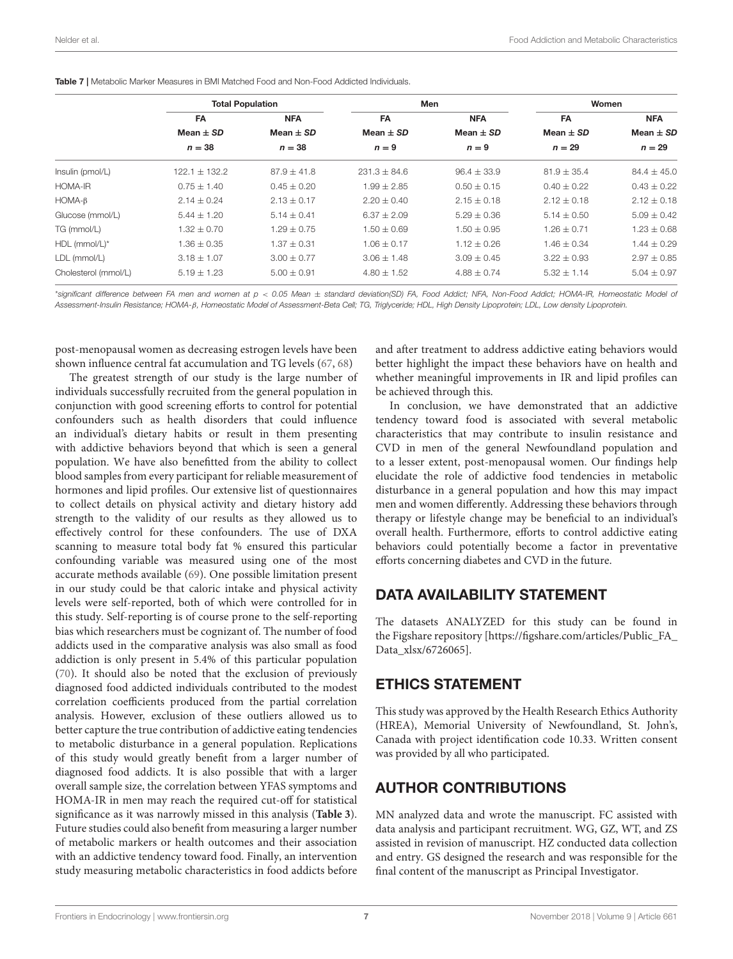<span id="page-6-0"></span>

|                      | <b>Total Population</b> |                 | Men              |                 | Women           |                 |
|----------------------|-------------------------|-----------------|------------------|-----------------|-----------------|-----------------|
|                      | FA                      | <b>NFA</b>      | <b>FA</b>        | <b>NFA</b>      | FA              | <b>NFA</b>      |
|                      | Mean $\pm$ SD           | Mean $\pm$ SD   | Mean $\pm$ SD    | Mean $\pm$ SD   | Mean $\pm$ SD   | Mean $\pm$ SD   |
|                      | $n = 38$                | $n = 38$        | $n = 9$          | $n = 9$         | $n = 29$        | $n = 29$        |
| Insulin (pmol/L)     | $122.1 \pm 132.2$       | $87.9 \pm 41.8$ | $231.3 \pm 84.6$ | $96.4 \pm 33.9$ | $81.9 \pm 35.4$ | $84.4 \pm 45.0$ |
| HOMA-IR              | $0.75 \pm 1.40$         | $0.45 \pm 0.20$ | $1.99 \pm 2.85$  | $0.50 \pm 0.15$ | $0.40 \pm 0.22$ | $0.43 \pm 0.22$ |
| $HOMA-B$             | $2.14 \pm 0.24$         | $2.13 \pm 0.17$ | $2.20 \pm 0.40$  | $2.15 \pm 0.18$ | $2.12 \pm 0.18$ | $2.12 \pm 0.18$ |
| Glucose (mmol/L)     | $5.44 \pm 1.20$         | $5.14 \pm 0.41$ | $6.37 + 2.09$    | $5.29 \pm 0.36$ | $5.14 \pm 0.50$ | $5.09 \pm 0.42$ |
| TG (mmol/L)          | $1.32 \pm 0.70$         | $1.29 + 0.75$   | $1.50 \pm 0.69$  | $1.50 + 0.95$   | $1.26 + 0.71$   | $1.23 \pm 0.68$ |
| HDL (mmol/L)*        | $1.36 \pm 0.35$         | $1.37 \pm 0.31$ | $1.06 \pm 0.17$  | $1.12 \pm 0.26$ | $1.46 \pm 0.34$ | $1.44 \pm 0.29$ |
| LDL (mmol/L)         | $3.18 \pm 1.07$         | $3.00 \pm 0.77$ | $3.06 \pm 1.48$  | $3.09 \pm 0.45$ | $3.22 \pm 0.93$ | $2.97 \pm 0.85$ |
| Cholesterol (mmol/L) | $5.19 \pm 1.23$         | $5.00 \pm 0.91$ | $4.80 \pm 1.52$  | $4.88 \pm 0.74$ | $5.32 \pm 1.14$ | $5.04 \pm 0.97$ |

\*significant difference between FA men and women at p < 0.05 Mean ± standard deviation(SD) FA, Food Addict; NFA, Non-Food Addict; HOMA-IR, Homeostatic Model of Assessment-Insulin Resistance; HOMA-β, Homeostatic Model of Assessment-Beta Cell; TG, Triglyceride; HDL, High Density Lipoprotein; LDL, Low density Lipoprotein.

post-menopausal women as decreasing estrogen levels have been shown influence central fat accumulation and TG levels [\(67,](#page-8-24) [68\)](#page-8-25)

The greatest strength of our study is the large number of individuals successfully recruited from the general population in conjunction with good screening efforts to control for potential confounders such as health disorders that could influence an individual's dietary habits or result in them presenting with addictive behaviors beyond that which is seen a general population. We have also benefitted from the ability to collect blood samples from every participant for reliable measurement of hormones and lipid profiles. Our extensive list of questionnaires to collect details on physical activity and dietary history add strength to the validity of our results as they allowed us to effectively control for these confounders. The use of DXA scanning to measure total body fat % ensured this particular confounding variable was measured using one of the most accurate methods available [\(69\)](#page-8-26). One possible limitation present in our study could be that caloric intake and physical activity levels were self-reported, both of which were controlled for in this study. Self-reporting is of course prone to the self-reporting bias which researchers must be cognizant of. The number of food addicts used in the comparative analysis was also small as food addiction is only present in 5.4% of this particular population [\(70\)](#page-8-27). It should also be noted that the exclusion of previously diagnosed food addicted individuals contributed to the modest correlation coefficients produced from the partial correlation analysis. However, exclusion of these outliers allowed us to better capture the true contribution of addictive eating tendencies to metabolic disturbance in a general population. Replications of this study would greatly benefit from a larger number of diagnosed food addicts. It is also possible that with a larger overall sample size, the correlation between YFAS symptoms and HOMA-IR in men may reach the required cut-off for statistical significance as it was narrowly missed in this analysis (**[Table 3](#page-4-0)**). Future studies could also benefit from measuring a larger number of metabolic markers or health outcomes and their association with an addictive tendency toward food. Finally, an intervention study measuring metabolic characteristics in food addicts before and after treatment to address addictive eating behaviors would better highlight the impact these behaviors have on health and whether meaningful improvements in IR and lipid profiles can be achieved through this.

In conclusion, we have demonstrated that an addictive tendency toward food is associated with several metabolic characteristics that may contribute to insulin resistance and CVD in men of the general Newfoundland population and to a lesser extent, post-menopausal women. Our findings help elucidate the role of addictive food tendencies in metabolic disturbance in a general population and how this may impact men and women differently. Addressing these behaviors through therapy or lifestyle change may be beneficial to an individual's overall health. Furthermore, efforts to control addictive eating behaviors could potentially become a factor in preventative efforts concerning diabetes and CVD in the future.

## DATA AVAILABILITY STATEMENT

The datasets ANALYZED for this study can be found in the Figshare repository [\[https://figshare.com/articles/Public\\_FA\\_](https://figshare.com/articles/Public_FA_Data_xlsx/6726065) [Data\\_xlsx/6726065\]](https://figshare.com/articles/Public_FA_Data_xlsx/6726065).

## ETHICS STATEMENT

This study was approved by the Health Research Ethics Authority (HREA), Memorial University of Newfoundland, St. John's, Canada with project identification code 10.33. Written consent was provided by all who participated.

# AUTHOR CONTRIBUTIONS

MN analyzed data and wrote the manuscript. FC assisted with data analysis and participant recruitment. WG, GZ, WT, and ZS assisted in revision of manuscript. HZ conducted data collection and entry. GS designed the research and was responsible for the final content of the manuscript as Principal Investigator.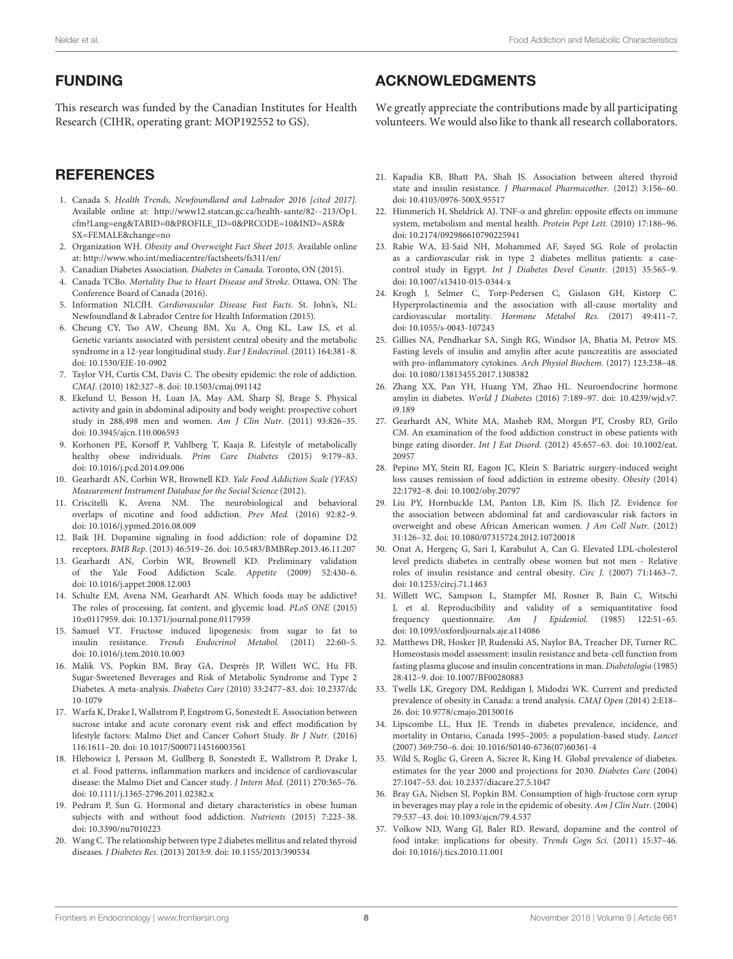# FUNDING

This research was funded by the Canadian Institutes for Health Research (CIHR, operating grant: MOP192552 to GS).

# **REFERENCES**

- <span id="page-7-0"></span>1. Canada S. Health Trends, Newfoundland and Labrador 2016 [cited 2017]. Available online at: [http://www12.statcan.gc.ca/health-sante/82--213/Op1.](http://www12.statcan.gc.ca/health-sante/82--213/Op1.cfm?Lang=eng&TABID=0&PROFILE_ID=0&PRCODE=10&IND=ASR&SX=FEMALE&change=no) [cfm?Lang=eng&TABID=0&PROFILE\\_ID=0&PRCODE=10&IND=ASR&](http://www12.statcan.gc.ca/health-sante/82--213/Op1.cfm?Lang=eng&TABID=0&PROFILE_ID=0&PRCODE=10&IND=ASR&SX=FEMALE&change=no) [SX=FEMALE&change=no](http://www12.statcan.gc.ca/health-sante/82--213/Op1.cfm?Lang=eng&TABID=0&PROFILE_ID=0&PRCODE=10&IND=ASR&SX=FEMALE&change=no)
- <span id="page-7-1"></span>2. Organization WH. Obesity and Overweight Fact Sheet 2015. Available online at:<http://www.who.int/mediacentre/factsheets/fs311/en/>
- <span id="page-7-2"></span>3. Canadian Diabetes Association. Diabetes in Canada. Toronto, ON (2015).
- 4. Canada TCBo. Mortality Due to Heart Disease and Stroke. Ottawa, ON: The Conference Board of Canada (2016).
- <span id="page-7-3"></span>5. Information NLCfH. Cardiovascular Disease Fast Facts. St. John's, NL: Newfoundland & Labrador Centre for Health Information (2015).
- <span id="page-7-4"></span>6. Cheung CY, Tso AW, Cheung BM, Xu A, Ong KL, Law LS, et al. Genetic variants associated with persistent central obesity and the metabolic syndrome in a 12-year longitudinal study. Eur J Endocrinol. (2011) 164:381-8. doi: [10.1530/EJE-10-0902](https://doi.org/10.1530/EJE-10-0902)
- 7. Taylor VH, Curtis CM, Davis C. The obesity epidemic: the role of addiction. CMAJ. (2010) 182:327–8. doi: [10.1503/cmaj.091142](https://doi.org/10.1503/cmaj.091142)
- 8. Ekelund U, Besson H, Luan JA, May AM, Sharp SJ, Brage S. Physical activity and gain in abdominal adiposity and body weight: prospective cohort study in 288,498 men and women. Am J Clin Nutr. (2011) 93:826–35. doi: [10.3945/ajcn.110.006593](https://doi.org/10.3945/ajcn.110.006593)
- <span id="page-7-5"></span>9. Korhonen PE, Korsoff P, Vahlberg T, Kaaja R. Lifestyle of metabolically healthy obese individuals. Prim Care Diabetes (2015) 9:179-83. doi: [10.1016/j.pcd.2014.09.006](https://doi.org/10.1016/j.pcd.2014.09.006)
- <span id="page-7-6"></span>10. Gearhardt AN, Corbin WR, Brownell KD. Yale Food Addiction Scale (YFAS) Measurement Instrument Database for the Social Science (2012).
- <span id="page-7-7"></span>11. Criscitelli K, Avena NM. The neurobiological and behavioral overlaps of nicotine and food addiction. Prev Med. (2016) 92:82–9. doi: [10.1016/j.ypmed.2016.08.009](https://doi.org/10.1016/j.ypmed.2016.08.009)
- <span id="page-7-8"></span>12. Baik JH. Dopamine signaling in food addiction: role of dopamine D2 receptors. BMB Rep. (2013) 46:519–26. doi: [10.5483/BMBRep.2013.46.11.207](https://doi.org/10.5483/BMBRep.2013.46.11.207)
- <span id="page-7-9"></span>13. Gearhardt AN, Corbin WR, Brownell KD. Preliminary validation of the Yale Food Addiction Scale. Appetite (2009) 52:430–6. doi: [10.1016/j.appet.2008.12.003](https://doi.org/10.1016/j.appet.2008.12.003)
- <span id="page-7-10"></span>14. Schulte EM, Avena NM, Gearhardt AN. Which foods may be addictive? The roles of processing, fat content, and glycemic load. PLoS ONE (2015) 10:e0117959. doi: [10.1371/journal.pone.0117959](https://doi.org/10.1371/journal.pone.0117959)
- <span id="page-7-11"></span>15. Samuel VT. Fructose induced lipogenesis: from sugar to fat to insulin resistance. Trends Endocrinol Metabol. (2011) 22:60–5. doi: [10.1016/j.tem.2010.10.003](https://doi.org/10.1016/j.tem.2010.10.003)
- <span id="page-7-12"></span>16. Malik VS, Popkin BM, Bray GA, Després JP, Willett WC, Hu FB. Sugar-Sweetened Beverages and Risk of Metabolic Syndrome and Type 2 Diabetes. A meta-analysis. Diabetes Care [\(2010\) 33:2477–83. doi: 10.2337/dc](https://doi.org/10.2337/dc10-1079) 10-1079
- <span id="page-7-13"></span>17. Warfa K, Drake I, Wallstrom P, Engstrom G, Sonestedt E. Association between sucrose intake and acute coronary event risk and effect modification by lifestyle factors: Malmo Diet and Cancer Cohort Study. Br J Nutr. (2016) 116:1611–20. doi: [10.1017/S0007114516003561](https://doi.org/10.1017/S0007114516003561)
- <span id="page-7-14"></span>18. Hlebowicz J, Persson M, Gullberg B, Sonestedt E, Wallstrom P, Drake I, et al. Food patterns, inflammation markers and incidence of cardiovascular disease: the Malmo Diet and Cancer study. J Intern Med. (2011) 270:365–76. doi: [10.1111/j.1365-2796.2011.02382.x](https://doi.org/10.1111/j.1365-2796.2011.02382.x)
- <span id="page-7-15"></span>19. Pedram P, Sun G. Hormonal and dietary characteristics in obese human subjects with and without food addiction. Nutrients (2015) 7:223–38. doi: [10.3390/nu7010223](https://doi.org/10.3390/nu7010223)
- <span id="page-7-16"></span>20. Wang C. The relationship between type 2 diabetes mellitus and related thyroid diseases. J Diabetes Res. (2013) 2013:9. doi: [10.1155/2013/390534](https://doi.org/10.1155/2013/390534)

## ACKNOWLEDGMENTS

We greatly appreciate the contributions made by all participating volunteers. We would also like to thank all research collaborators.

- 21. Kapadia KB, Bhatt PA, Shah JS. Association between altered thyroid state and insulin resistance. J Pharmacol Pharmacother. (2012) 3:156–60. doi: [10.4103/0976-500X.95517](https://doi.org/10.4103/0976-500X.95517)
- <span id="page-7-17"></span>22. Himmerich H, Sheldrick AJ. TNF-α and ghrelin: opposite effects on immune system, metabolism and mental health. Protein Pept Lett. (2010) 17:186–96. doi: [10.2174/092986610790225941](https://doi.org/10.2174/092986610790225941)
- <span id="page-7-18"></span>23. Rabie WA, El-Said NH, Mohammed AF, Sayed SG. Role of prolactin as a cardiovascular risk in type 2 diabetes mellitus patients: a casecontrol study in Egypt. Int J Diabetes Devel Countr. (2015) 35:565–9. doi: [10.1007/s13410-015-0344-x](https://doi.org/10.1007/s13410-015-0344-x)
- 24. Krogh J, Selmer C, Torp-Pedersen C, Gislason GH, Kistorp C. Hyperprolactinemia and the association with all-cause mortality and cardiovascular mortality. Hormone Metabol Res. (2017) 49:411–7. doi: [10.1055/s-0043-107243](https://doi.org/10.1055/s-0043-107243)
- 25. Gillies NA, Pendharkar SA, Singh RG, Windsor JA, Bhatia M, Petrov MS. Fasting levels of insulin and amylin after acute pancreatitis are associated with pro-inflammatory cytokines. Arch Physiol Biochem. (2017) 123:238–48. doi: [10.1080/13813455.2017.1308382](https://doi.org/10.1080/13813455.2017.1308382)
- <span id="page-7-19"></span>26. Zhang XX, Pan YH, Huang YM, Zhao HL. Neuroendocrine hormone amylin in diabetes. World J Diabetes [\(2016\) 7:189–97. doi: 10.4239/wjd.v7.](https://doi.org/10.4239/wjd.v7.i9.189) i9.189
- <span id="page-7-20"></span>27. Gearhardt AN, White MA, Masheb RM, Morgan PT, Crosby RD, Grilo CM. An examination of the food addiction construct in obese patients with binge eating disorder. Int J Eat Disord. [\(2012\) 45:657–63. doi: 10.1002/eat.](https://doi.org/10.1002/eat.20957) 20957
- <span id="page-7-21"></span>28. Pepino MY, Stein RI, Eagon JC, Klein S. Bariatric surgery-induced weight loss causes remission of food addiction in extreme obesity. Obesity (2014) 22:1792–8. doi: [10.1002/oby.20797](https://doi.org/10.1002/oby.20797)
- <span id="page-7-22"></span>29. Liu PY, Hornbuckle LM, Panton LB, Kim JS, Ilich JZ. Evidence for the association between abdominal fat and cardiovascular risk factors in overweight and obese African American women. J Am Coll Nutr. (2012) 31:126–32. doi: [10.1080/07315724.2012.10720018](https://doi.org/10.1080/07315724.2012.10720018)
- <span id="page-7-23"></span>30. Onat A, Hergenç G, Sari I, Karabulut A, Can G. Elevated LDL-cholesterol level predicts diabetes in centrally obese women but not men - Relative roles of insulin resistance and central obesity. Circ J. (2007) 71:1463–7. doi: [10.1253/circj.71.1463](https://doi.org/10.1253/circj.71.1463)
- <span id="page-7-24"></span>31. Willett WC, Sampson L, Stampfer MJ, Rosner B, Bain C, Witschi J, et al. Reproducibility and validity of a semiquantitative food frequency questionnaire. Am J Epidemiol. (1985) 122:51–65. doi: [10.1093/oxfordjournals.aje.a114086](https://doi.org/10.1093/oxfordjournals.aje.a114086)
- <span id="page-7-25"></span>32. Matthews DR, Hosker JP, Rudenski AS, Naylor BA, Treacher DF, Turner RC. Homeostasis model assessment: insulin resistance and beta-cell function from fasting plasma glucose and insulin concentrations in man. Diabetologia (1985) 28:412–9. doi: [10.1007/BF00280883](https://doi.org/10.1007/BF00280883)
- <span id="page-7-26"></span>33. Twells LK, Gregory DM, Reddigan J, Midodzi WK. Current and predicted prevalence of obesity in Canada: a trend analysis. CMAJ Open (2014) 2:E18– 26. doi: [10.9778/cmajo.20130016](https://doi.org/10.9778/cmajo.20130016)
- <span id="page-7-27"></span>34. Lipscombe LL, Hux JE. Trends in diabetes prevalence, incidence, and mortality in Ontario, Canada 1995–2005: a population-based study. Lancet (2007) 369:750–6. doi: [10.1016/S0140-6736\(07\)60361-4](https://doi.org/10.1016/S0140-6736(07)60361-4)
- <span id="page-7-28"></span>35. Wild S, Roglic G, Green A, Sicree R, King H. Global prevalence of diabetes. estimates for the year 2000 and projections for 2030. Diabetes Care (2004) 27:1047–53. doi: [10.2337/diacare.27.5.1047](https://doi.org/10.2337/diacare.27.5.1047)
- <span id="page-7-29"></span>36. Bray GA, Nielsen SJ, Popkin BM. Consumption of high-fructose corn syrup in beverages may play a role in the epidemic of obesity. Am J Clin Nutr. (2004) 79:537–43. doi: [10.1093/ajcn/79.4.537](https://doi.org/10.1093/ajcn/79.4.537)
- 37. Volkow ND, Wang GJ, Baler RD. Reward, dopamine and the control of food intake: implications for obesity. Trends Cogn Sci. (2011) 15:37–46. doi: [10.1016/j.tics.2010.11.001](https://doi.org/10.1016/j.tics.2010.11.001)